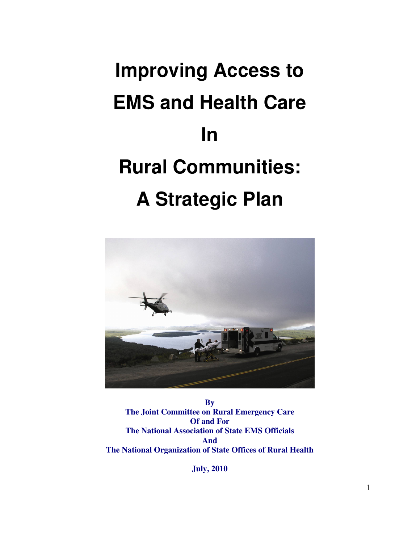# **Improving Access to EMS and Health Care In Rural Communities: A Strategic Plan**



**By The Joint Committee on Rural Emergency Care Of and For The National Association of State EMS Officials And The National Organization of State Offices of Rural Health** 

**July, 2010**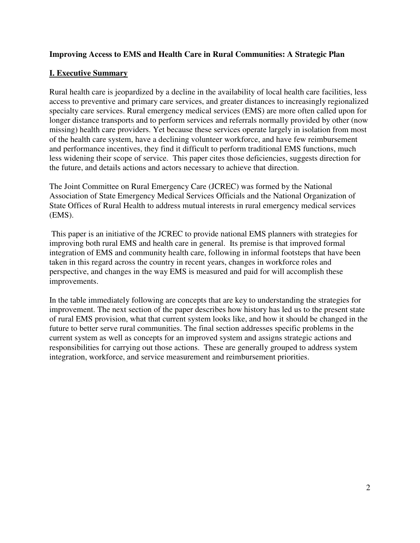# **Improving Access to EMS and Health Care in Rural Communities: A Strategic Plan**

# **I. Executive Summary**

Rural health care is jeopardized by a decline in the availability of local health care facilities, less access to preventive and primary care services, and greater distances to increasingly regionalized specialty care services. Rural emergency medical services (EMS) are more often called upon for longer distance transports and to perform services and referrals normally provided by other (now missing) health care providers. Yet because these services operate largely in isolation from most of the health care system, have a declining volunteer workforce, and have few reimbursement and performance incentives, they find it difficult to perform traditional EMS functions, much less widening their scope of service. This paper cites those deficiencies, suggests direction for the future, and details actions and actors necessary to achieve that direction.

The Joint Committee on Rural Emergency Care (JCREC) was formed by the National Association of State Emergency Medical Services Officials and the National Organization of State Offices of Rural Health to address mutual interests in rural emergency medical services (EMS).

 This paper is an initiative of the JCREC to provide national EMS planners with strategies for improving both rural EMS and health care in general. Its premise is that improved formal integration of EMS and community health care, following in informal footsteps that have been taken in this regard across the country in recent years, changes in workforce roles and perspective, and changes in the way EMS is measured and paid for will accomplish these improvements.

In the table immediately following are concepts that are key to understanding the strategies for improvement. The next section of the paper describes how history has led us to the present state of rural EMS provision, what that current system looks like, and how it should be changed in the future to better serve rural communities. The final section addresses specific problems in the current system as well as concepts for an improved system and assigns strategic actions and responsibilities for carrying out those actions. These are generally grouped to address system integration, workforce, and service measurement and reimbursement priorities.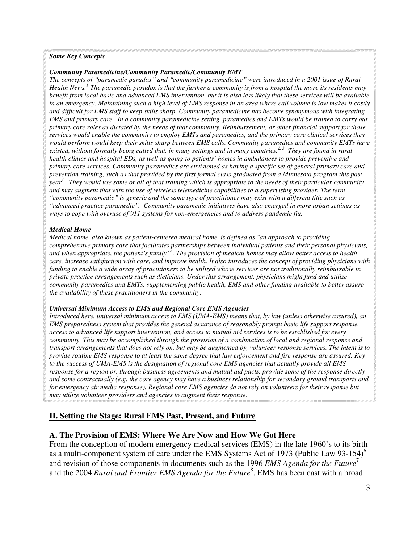## *Some Key Concepts*

### *Community Paramedicine/Community Paramedic/Community EMT*

*The concepts of "paramedic paradox" and "community paramedicine" were introduced in a 2001 issue of Rural Health News.<sup>1</sup> The paramedic paradox is that the further a community is from a hospital the more its residents may benefit from local basic and advanced EMS intervention, but it is also less likely that these services will be available in an emergency. Maintaining such a high level of EMS response in an area where call volume is low makes it costly and difficult for EMS staff to keep skills sharp. Community paramedicine has become synonymous with integrating EMS and primary care. In a community paramedicine setting, paramedics and EMTs would be trained to carry out primary care roles as dictated by the needs of that community. Reimbursement, or other financial support for those services would enable the community to employ EMTs and paramedics, and the primary care clinical services they would perform would keep their skills sharp between EMS calls. Community paramedics and community EMTs have existed, without formally being called that, in many settings and in many countries.2, 3 They are found in rural health clinics and hospital EDs, as well as going to patients' homes in ambulances to provide preventive and primary care services. Community paramedics are envisioned as having a specific set of general primary care and prevention training, such as that provided by the first formal class graduated from a Minnesota program this past year 4 . They would use some or all of that training which is appropriate to the needs of their particular community and may augment that with the use of wireless telemedicine capabilities to a supervising provider. The term "community paramedic" is generic and the same type of practitioner may exist with a different title such as "advanced practice paramedic". Community paramedic initiatives have also emerged in more urban settings as ways to cope with overuse of 911 systems for non-emergencies and to address pandemic flu.* 

#### *Medical Home*

*Medical home, also known as patient-centered medical home, is defined as "an approach to providing comprehensive primary care that facilitates partnerships between individual patients and their personal physicians, and when appropriate, the patient's family"<sup>5</sup> . The provision of medical homes may allow better access to health care, increase satisfaction with care, and improve health. It also introduces the concept of providing physicians with funding to enable a wide array of practitioners to be utilized whose services are not traditionally reimbursable in private practice arrangements such as dieticians. Under this arrangement, physicians might fund and utilize community paramedics and EMTs, supplementing public health, EMS and other funding available to better assure the availability of these practitioners in the community.* 

### *Universal Minimum Access to EMS and Regional Core EMS Agencies*

*Introduced here, universal minimum access to EMS (UMA-EMS) means that, by law (unless otherwise assured), an EMS preparedness system that provides the general assurance of reasonably prompt basic life support response, access to advanced life support intervention, and access to mutual aid services is to be established for every community. This may be accomplished through the provision of a combination of local and regional response and transport arrangements that does not rely on, but may be augmented by, volunteer response services. The intent is to provide routine EMS response to at least the same degree that law enforcement and fire response are assured. Key to the success of UMA-EMS is the designation of regional core EMS agencies that actually provide all EMS response for a region or, through business agreements and mutual aid pacts, provide some of the response directly and some contractually (e.g. the core agency may have a business relationship for secondary ground transports and for emergency air medic response). Regional core EMS agencies do not rely on volunteers for their response but may utilize volunteer providers and agencies to augment their response.* 

## **II. Setting the Stage: Rural EMS Past, Present, and Future**

## **A. The Provision of EMS: Where We Are Now and How We Got Here**

From the conception of modern emergency medical services (EMS) in the late 1960's to its birth as a multi-component system of care under the EMS Systems Act of 1973 (Public Law 93-154)<sup>6</sup> and revision of those components in documents such as the 1996 *EMS Agenda for the Future*<sup>7</sup> and the 2004 *Rural and Frontier EMS Agenda for the Future*<sup>8</sup>, EMS has been cast with a broad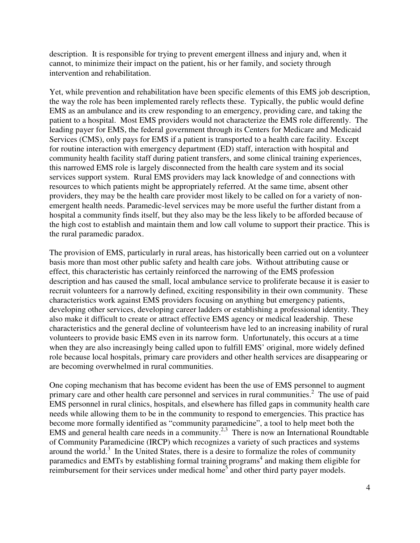description. It is responsible for trying to prevent emergent illness and injury and, when it cannot, to minimize their impact on the patient, his or her family, and society through intervention and rehabilitation.

Yet, while prevention and rehabilitation have been specific elements of this EMS job description, the way the role has been implemented rarely reflects these. Typically, the public would define EMS as an ambulance and its crew responding to an emergency, providing care, and taking the patient to a hospital. Most EMS providers would not characterize the EMS role differently. The leading payer for EMS, the federal government through its Centers for Medicare and Medicaid Services (CMS), only pays for EMS if a patient is transported to a health care facility. Except for routine interaction with emergency department (ED) staff, interaction with hospital and community health facility staff during patient transfers, and some clinical training experiences, this narrowed EMS role is largely disconnected from the health care system and its social services support system. Rural EMS providers may lack knowledge of and connections with resources to which patients might be appropriately referred. At the same time, absent other providers, they may be the health care provider most likely to be called on for a variety of nonemergent health needs. Paramedic-level services may be more useful the further distant from a hospital a community finds itself, but they also may be the less likely to be afforded because of the high cost to establish and maintain them and low call volume to support their practice. This is the rural paramedic paradox.

The provision of EMS, particularly in rural areas, has historically been carried out on a volunteer basis more than most other public safety and health care jobs. Without attributing cause or effect, this characteristic has certainly reinforced the narrowing of the EMS profession description and has caused the small, local ambulance service to proliferate because it is easier to recruit volunteers for a narrowly defined, exciting responsibility in their own community. These characteristics work against EMS providers focusing on anything but emergency patients, developing other services, developing career ladders or establishing a professional identity. They also make it difficult to create or attract effective EMS agency or medical leadership. These characteristics and the general decline of volunteerism have led to an increasing inability of rural volunteers to provide basic EMS even in its narrow form. Unfortunately, this occurs at a time when they are also increasingly being called upon to fulfill EMS' original, more widely defined role because local hospitals, primary care providers and other health services are disappearing or are becoming overwhelmed in rural communities.

One coping mechanism that has become evident has been the use of EMS personnel to augment primary care and other health care personnel and services in rural communities.<sup>2</sup> The use of paid EMS personnel in rural clinics, hospitals, and elsewhere has filled gaps in community health care needs while allowing them to be in the community to respond to emergencies. This practice has become more formally identified as "community paramedicine", a tool to help meet both the EMS and general health care needs in a community.<sup>2,3</sup> There is now an International Roundtable of Community Paramedicine (IRCP) which recognizes a variety of such practices and systems around the world. $3$  In the United States, there is a desire to formalize the roles of community paramedics and EMTs by establishing formal training programs<sup>4</sup> and making them eligible for reimbursement for their services under medical home<sup>5</sup> and other third party payer models.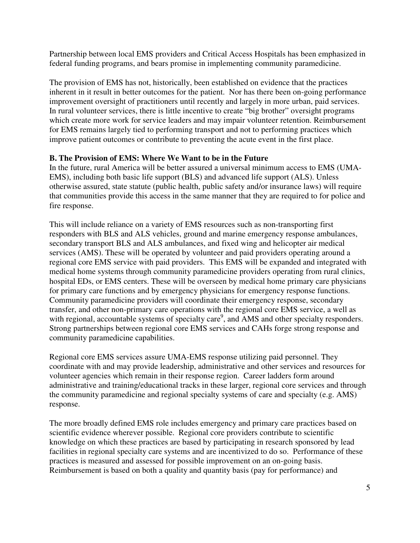Partnership between local EMS providers and Critical Access Hospitals has been emphasized in federal funding programs, and bears promise in implementing community paramedicine.

The provision of EMS has not, historically, been established on evidence that the practices inherent in it result in better outcomes for the patient. Nor has there been on-going performance improvement oversight of practitioners until recently and largely in more urban, paid services. In rural volunteer services, there is little incentive to create "big brother" oversight programs which create more work for service leaders and may impair volunteer retention. Reimbursement for EMS remains largely tied to performing transport and not to performing practices which improve patient outcomes or contribute to preventing the acute event in the first place.

## **B. The Provision of EMS: Where We Want to be in the Future**

In the future, rural America will be better assured a universal minimum access to EMS (UMA-EMS), including both basic life support (BLS) and advanced life support (ALS). Unless otherwise assured, state statute (public health, public safety and/or insurance laws) will require that communities provide this access in the same manner that they are required to for police and fire response.

This will include reliance on a variety of EMS resources such as non-transporting first responders with BLS and ALS vehicles, ground and marine emergency response ambulances, secondary transport BLS and ALS ambulances, and fixed wing and helicopter air medical services (AMS). These will be operated by volunteer and paid providers operating around a regional core EMS service with paid providers. This EMS will be expanded and integrated with medical home systems through community paramedicine providers operating from rural clinics, hospital EDs, or EMS centers. These will be overseen by medical home primary care physicians for primary care functions and by emergency physicians for emergency response functions. Community paramedicine providers will coordinate their emergency response, secondary transfer, and other non-primary care operations with the regional core EMS service, a well as with regional, accountable systems of specialty care<sup>9</sup>, and AMS and other specialty responders. Strong partnerships between regional core EMS services and CAHs forge strong response and community paramedicine capabilities.

Regional core EMS services assure UMA-EMS response utilizing paid personnel. They coordinate with and may provide leadership, administrative and other services and resources for volunteer agencies which remain in their response region. Career ladders form around administrative and training/educational tracks in these larger, regional core services and through the community paramedicine and regional specialty systems of care and specialty (e.g. AMS) response.

The more broadly defined EMS role includes emergency and primary care practices based on scientific evidence wherever possible. Regional core providers contribute to scientific knowledge on which these practices are based by participating in research sponsored by lead facilities in regional specialty care systems and are incentivized to do so. Performance of these practices is measured and assessed for possible improvement on an on-going basis. Reimbursement is based on both a quality and quantity basis (pay for performance) and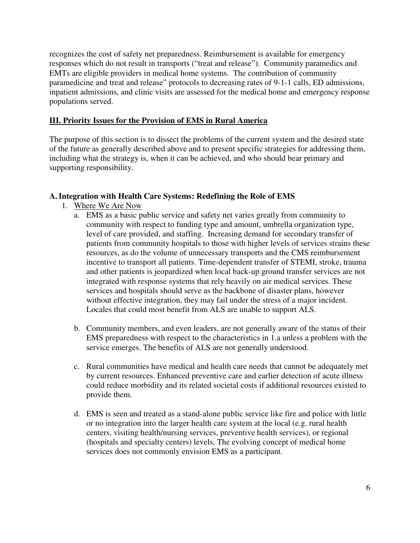recognizes the cost of safety net preparedness. Reimbursement is available for emergency responses which do not result in transports ("treat and release"). Community paramedics and EMTs are eligible providers in medical home systems. The contribution of community paramedicine and treat and release" protocols to decreasing rates of 9-1-1 calls, ED admissions, inpatient admissions, and clinic visits are assessed for the medical home and emergency response populations served.

# **III. Priority Issues for the Provision of EMS in Rural America**

The purpose of this section is to dissect the problems of the current system and the desired state of the future as generally described above and to present specific strategies for addressing them, including what the strategy is, when it can be achieved, and who should bear primary and supporting responsibility.

# **A.Integration with Health Care Systems: Redefining the Role of EMS**

- 1. Where We Are Now
	- a. EMS as a basic public service and safety net varies greatly from community to community with respect to funding type and amount, umbrella organization type, level of care provided, and staffing. Increasing demand for secondary transfer of patients from community hospitals to those with higher levels of services strains these resources, as do the volume of unnecessary transports and the CMS reimbursement incentive to transport all patients. Time-dependent transfer of STEMI, stroke, trauma and other patients is jeopardized when local back-up ground transfer services are not integrated with response systems that rely heavily on air medical services. These services and hospitals should serve as the backbone of disaster plans, however without effective integration, they may fail under the stress of a major incident. Locales that could most benefit from ALS are unable to support ALS.
	- b. Community members, and even leaders, are not generally aware of the status of their EMS preparedness with respect to the characteristics in 1.a unless a problem with the service emerges. The benefits of ALS are not generally understood.
	- c. Rural communities have medical and health care needs that cannot be adequately met by current resources. Enhanced preventive care and earlier detection of acute illness could reduce morbidity and its related societal costs if additional resources existed to provide them.
	- d. EMS is seen and treated as a stand-alone public service like fire and police with little or no integration into the larger health care system at the local (e.g. rural health centers, visiting health/nursing services, preventive health services), or regional (hospitals and specialty centers) levels. The evolving concept of medical home services does not commonly envision EMS as a participant.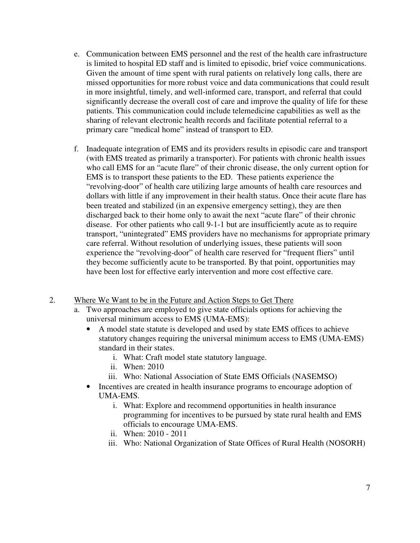- e. Communication between EMS personnel and the rest of the health care infrastructure is limited to hospital ED staff and is limited to episodic, brief voice communications. Given the amount of time spent with rural patients on relatively long calls, there are missed opportunities for more robust voice and data communications that could result in more insightful, timely, and well-informed care, transport, and referral that could significantly decrease the overall cost of care and improve the quality of life for these patients. This communication could include telemedicine capabilities as well as the sharing of relevant electronic health records and facilitate potential referral to a primary care "medical home" instead of transport to ED.
- f. Inadequate integration of EMS and its providers results in episodic care and transport (with EMS treated as primarily a transporter). For patients with chronic health issues who call EMS for an "acute flare" of their chronic disease, the only current option for EMS is to transport these patients to the ED. These patients experience the "revolving-door" of health care utilizing large amounts of health care resources and dollars with little if any improvement in their health status. Once their acute flare has been treated and stabilized (in an expensive emergency setting), they are then discharged back to their home only to await the next "acute flare" of their chronic disease. For other patients who call 9-1-1 but are insufficiently acute as to require transport, "unintegrated" EMS providers have no mechanisms for appropriate primary care referral. Without resolution of underlying issues, these patients will soon experience the "revolving-door" of health care reserved for "frequent fliers" until they become sufficiently acute to be transported. By that point, opportunities may have been lost for effective early intervention and more cost effective care.
- 2. Where We Want to be in the Future and Action Steps to Get There
	- a. Two approaches are employed to give state officials options for achieving the universal minimum access to EMS (UMA-EMS):
		- A model state statute is developed and used by state EMS offices to achieve statutory changes requiring the universal minimum access to EMS (UMA-EMS) standard in their states.
			- i. What: Craft model state statutory language.
			- ii. When: 2010
			- iii. Who: National Association of State EMS Officials (NASEMSO)
		- Incentives are created in health insurance programs to encourage adoption of UMA-EMS.
			- i. What: Explore and recommend opportunities in health insurance programming for incentives to be pursued by state rural health and EMS officials to encourage UMA-EMS.
			- ii. When: 2010 2011
			- iii. Who: National Organization of State Offices of Rural Health (NOSORH)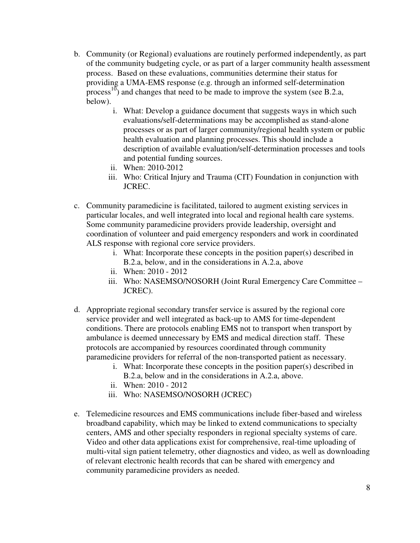- b. Community (or Regional) evaluations are routinely performed independently, as part of the community budgeting cycle, or as part of a larger community health assessment process. Based on these evaluations, communities determine their status for providing a UMA-EMS response (e.g. through an informed self-determination process<sup>10</sup>) and changes that need to be made to improve the system (see B.2.a, below).
	- i. What: Develop a guidance document that suggests ways in which such evaluations/self-determinations may be accomplished as stand-alone processes or as part of larger community/regional health system or public health evaluation and planning processes. This should include a description of available evaluation/self-determination processes and tools and potential funding sources.
	- ii. When: 2010-2012
	- iii. Who: Critical Injury and Trauma (CIT) Foundation in conjunction with JCREC.
- c. Community paramedicine is facilitated, tailored to augment existing services in particular locales, and well integrated into local and regional health care systems. Some community paramedicine providers provide leadership, oversight and coordination of volunteer and paid emergency responders and work in coordinated ALS response with regional core service providers.
	- i. What: Incorporate these concepts in the position paper(s) described in B.2.a, below, and in the considerations in A.2.a, above
	- ii. When: 2010 2012
	- iii. Who: NASEMSO/NOSORH (Joint Rural Emergency Care Committee JCREC).
- d. Appropriate regional secondary transfer service is assured by the regional core service provider and well integrated as back-up to AMS for time-dependent conditions. There are protocols enabling EMS not to transport when transport by ambulance is deemed unnecessary by EMS and medical direction staff. These protocols are accompanied by resources coordinated through community paramedicine providers for referral of the non-transported patient as necessary.
	- i. What: Incorporate these concepts in the position paper(s) described in B.2.a, below and in the considerations in A.2.a, above.
	- ii. When: 2010 2012
	- iii. Who: NASEMSO/NOSORH (JCREC)
- e. Telemedicine resources and EMS communications include fiber-based and wireless broadband capability, which may be linked to extend communications to specialty centers, AMS and other specialty responders in regional specialty systems of care. Video and other data applications exist for comprehensive, real-time uploading of multi-vital sign patient telemetry, other diagnostics and video, as well as downloading of relevant electronic health records that can be shared with emergency and community paramedicine providers as needed.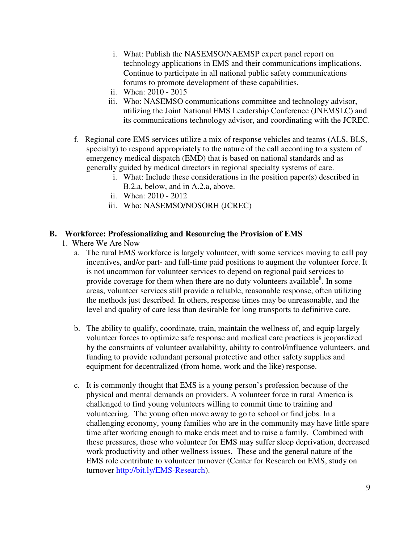- i. What: Publish the NASEMSO/NAEMSP expert panel report on technology applications in EMS and their communications implications. Continue to participate in all national public safety communications forums to promote development of these capabilities.
- ii. When: 2010 2015
- iii. Who: NASEMSO communications committee and technology advisor, utilizing the Joint National EMS Leadership Conference (JNEMSLC) and its communications technology advisor, and coordinating with the JCREC.
- f. Regional core EMS services utilize a mix of response vehicles and teams (ALS, BLS, specialty) to respond appropriately to the nature of the call according to a system of emergency medical dispatch (EMD) that is based on national standards and as generally guided by medical directors in regional specialty systems of care.
	- i. What: Include these considerations in the position paper(s) described in B.2.a, below, and in A.2.a, above.
	- ii. When: 2010 2012
	- iii. Who: NASEMSO/NOSORH (JCREC)

# **B. Workforce: Professionalizing and Resourcing the Provision of EMS**

- 1. Where We Are Now
	- a. The rural EMS workforce is largely volunteer, with some services moving to call pay incentives, and/or part- and full-time paid positions to augment the volunteer force. It is not uncommon for volunteer services to depend on regional paid services to provide coverage for them when there are no duty volunteers available $\delta$ . In some areas, volunteer services still provide a reliable, reasonable response, often utilizing the methods just described. In others, response times may be unreasonable, and the level and quality of care less than desirable for long transports to definitive care.
	- b. The ability to qualify, coordinate, train, maintain the wellness of, and equip largely volunteer forces to optimize safe response and medical care practices is jeopardized by the constraints of volunteer availability, ability to control/influence volunteers, and funding to provide redundant personal protective and other safety supplies and equipment for decentralized (from home, work and the like) response.
	- c. It is commonly thought that EMS is a young person's profession because of the physical and mental demands on providers. A volunteer force in rural America is challenged to find young volunteers willing to commit time to training and volunteering. The young often move away to go to school or find jobs. In a challenging economy, young families who are in the community may have little spare time after working enough to make ends meet and to raise a family. Combined with these pressures, those who volunteer for EMS may suffer sleep deprivation, decreased work productivity and other wellness issues. These and the general nature of the EMS role contribute to volunteer turnover (Center for Research on EMS, study on turnover http://bit.ly/EMS-Research).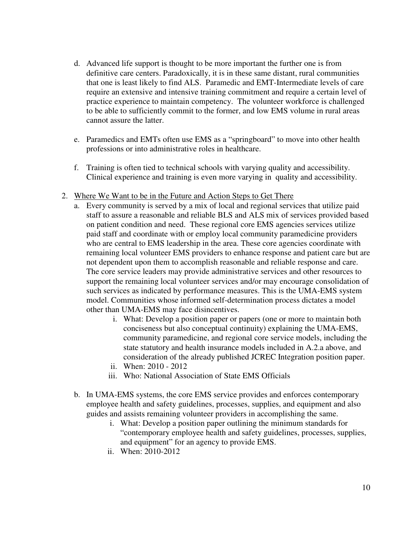- d. Advanced life support is thought to be more important the further one is from definitive care centers. Paradoxically, it is in these same distant, rural communities that one is least likely to find ALS. Paramedic and EMT-Intermediate levels of care require an extensive and intensive training commitment and require a certain level of practice experience to maintain competency. The volunteer workforce is challenged to be able to sufficiently commit to the former, and low EMS volume in rural areas cannot assure the latter.
- e. Paramedics and EMTs often use EMS as a "springboard" to move into other health professions or into administrative roles in healthcare.
- f. Training is often tied to technical schools with varying quality and accessibility. Clinical experience and training is even more varying in quality and accessibility.
- 2. Where We Want to be in the Future and Action Steps to Get There
	- a. Every community is served by a mix of local and regional services that utilize paid staff to assure a reasonable and reliable BLS and ALS mix of services provided based on patient condition and need. These regional core EMS agencies services utilize paid staff and coordinate with or employ local community paramedicine providers who are central to EMS leadership in the area. These core agencies coordinate with remaining local volunteer EMS providers to enhance response and patient care but are not dependent upon them to accomplish reasonable and reliable response and care. The core service leaders may provide administrative services and other resources to support the remaining local volunteer services and/or may encourage consolidation of such services as indicated by performance measures. This is the UMA-EMS system model. Communities whose informed self-determination process dictates a model other than UMA-EMS may face disincentives.
		- i. What: Develop a position paper or papers (one or more to maintain both conciseness but also conceptual continuity) explaining the UMA-EMS, community paramedicine, and regional core service models, including the state statutory and health insurance models included in A.2.a above, and consideration of the already published JCREC Integration position paper.
		- ii. When: 2010 2012
		- iii. Who: National Association of State EMS Officials
	- b. In UMA-EMS systems, the core EMS service provides and enforces contemporary employee health and safety guidelines, processes, supplies, and equipment and also guides and assists remaining volunteer providers in accomplishing the same.
		- i. What: Develop a position paper outlining the minimum standards for "contemporary employee health and safety guidelines, processes, supplies, and equipment" for an agency to provide EMS.
		- ii. When: 2010-2012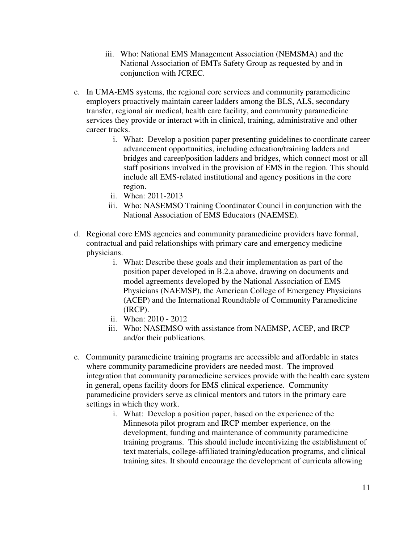- iii. Who: National EMS Management Association (NEMSMA) and the National Association of EMTs Safety Group as requested by and in conjunction with JCREC.
- c. In UMA-EMS systems, the regional core services and community paramedicine employers proactively maintain career ladders among the BLS, ALS, secondary transfer, regional air medical, health care facility, and community paramedicine services they provide or interact with in clinical, training, administrative and other career tracks.
	- i. What: Develop a position paper presenting guidelines to coordinate career advancement opportunities, including education/training ladders and bridges and career/position ladders and bridges, which connect most or all staff positions involved in the provision of EMS in the region. This should include all EMS-related institutional and agency positions in the core region.
	- ii. When: 2011-2013
	- iii. Who: NASEMSO Training Coordinator Council in conjunction with the National Association of EMS Educators (NAEMSE).
- d. Regional core EMS agencies and community paramedicine providers have formal, contractual and paid relationships with primary care and emergency medicine physicians.
	- i. What: Describe these goals and their implementation as part of the position paper developed in B.2.a above, drawing on documents and model agreements developed by the National Association of EMS Physicians (NAEMSP), the American College of Emergency Physicians (ACEP) and the International Roundtable of Community Paramedicine (IRCP).
	- ii. When: 2010 2012
	- iii. Who: NASEMSO with assistance from NAEMSP, ACEP, and IRCP and/or their publications.
- e. Community paramedicine training programs are accessible and affordable in states where community paramedicine providers are needed most. The improved integration that community paramedicine services provide with the health care system in general, opens facility doors for EMS clinical experience. Community paramedicine providers serve as clinical mentors and tutors in the primary care settings in which they work.
	- i. What: Develop a position paper, based on the experience of the Minnesota pilot program and IRCP member experience, on the development, funding and maintenance of community paramedicine training programs. This should include incentivizing the establishment of text materials, college-affiliated training/education programs, and clinical training sites. It should encourage the development of curricula allowing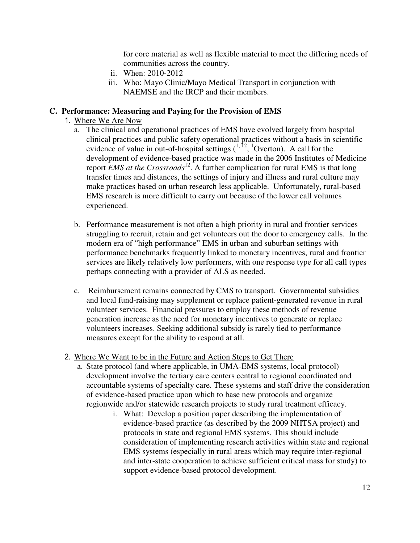for core material as well as flexible material to meet the differing needs of communities across the country.

- ii. When: 2010-2012
- iii. Who: Mayo Clinic/Mayo Medical Transport in conjunction with NAEMSE and the IRCP and their members.

# **C. Performance: Measuring and Paying for the Provision of EMS**

- 1. Where We Are Now
	- a. The clinical and operational practices of EMS have evolved largely from hospital clinical practices and public safety operational practices without a basis in scientific evidence of value in out-of-hospital settings  $(^{1, 12}, 1$ Overton). A call for the development of evidence-based practice was made in the 2006 Institutes of Medicine report *EMS at the Crossroads*<sup>12</sup>. A further complication for rural EMS is that long transfer times and distances, the settings of injury and illness and rural culture may make practices based on urban research less applicable. Unfortunately, rural-based EMS research is more difficult to carry out because of the lower call volumes experienced.
	- b. Performance measurement is not often a high priority in rural and frontier services struggling to recruit, retain and get volunteers out the door to emergency calls. In the modern era of "high performance" EMS in urban and suburban settings with performance benchmarks frequently linked to monetary incentives, rural and frontier services are likely relatively low performers, with one response type for all call types perhaps connecting with a provider of ALS as needed.
	- c. Reimbursement remains connected by CMS to transport. Governmental subsidies and local fund-raising may supplement or replace patient-generated revenue in rural volunteer services. Financial pressures to employ these methods of revenue generation increase as the need for monetary incentives to generate or replace volunteers increases. Seeking additional subsidy is rarely tied to performance measures except for the ability to respond at all.
- 2. Where We Want to be in the Future and Action Steps to Get There
	- a. State protocol (and where applicable, in UMA-EMS systems, local protocol) development involve the tertiary care centers central to regional coordinated and accountable systems of specialty care. These systems and staff drive the consideration of evidence-based practice upon which to base new protocols and organize regionwide and/or statewide research projects to study rural treatment efficacy.
		- i. What: Develop a position paper describing the implementation of evidence-based practice (as described by the 2009 NHTSA project) and protocols in state and regional EMS systems. This should include consideration of implementing research activities within state and regional EMS systems (especially in rural areas which may require inter-regional and inter-state cooperation to achieve sufficient critical mass for study) to support evidence-based protocol development.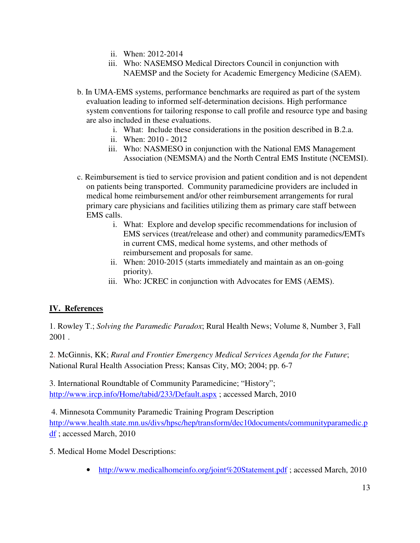- ii. When: 2012-2014
- iii. Who: NASEMSO Medical Directors Council in conjunction with NAEMSP and the Society for Academic Emergency Medicine (SAEM).
- b. In UMA-EMS systems, performance benchmarks are required as part of the system evaluation leading to informed self-determination decisions. High performance system conventions for tailoring response to call profile and resource type and basing are also included in these evaluations.
	- i. What: Include these considerations in the position described in B.2.a.
	- ii. When: 2010 2012
	- iii. Who: NASMESO in conjunction with the National EMS Management Association (NEMSMA) and the North Central EMS Institute (NCEMSI).
- c. Reimbursement is tied to service provision and patient condition and is not dependent on patients being transported. Community paramedicine providers are included in medical home reimbursement and/or other reimbursement arrangements for rural primary care physicians and facilities utilizing them as primary care staff between EMS calls.
	- i. What: Explore and develop specific recommendations for inclusion of EMS services (treat/release and other) and community paramedics/EMTs in current CMS, medical home systems, and other methods of reimbursement and proposals for same.
	- ii. When: 2010-2015 (starts immediately and maintain as an on-going priority).
	- iii. Who: JCREC in conjunction with Advocates for EMS (AEMS).

# **IV. References**

1. Rowley T.; *Solving the Paramedic Paradox*; Rural Health News; Volume 8, Number 3, Fall 2001 .

2. McGinnis, KK; *Rural and Frontier Emergency Medical Services Agenda for the Future*; National Rural Health Association Press; Kansas City, MO; 2004; pp. 6-7

3. International Roundtable of Community Paramedicine; "History"; http://www.ircp.info/Home/tabid/233/Default.aspx ; accessed March, 2010

4. Minnesota Community Paramedic Training Program Description

http://www.health.state.mn.us/divs/hpsc/hep/transform/dec10documents/communityparamedic.p df ; accessed March, 2010

5. Medical Home Model Descriptions:

• http://www.medicalhomeinfo.org/joint%20Statement.pdf ; accessed March, 2010